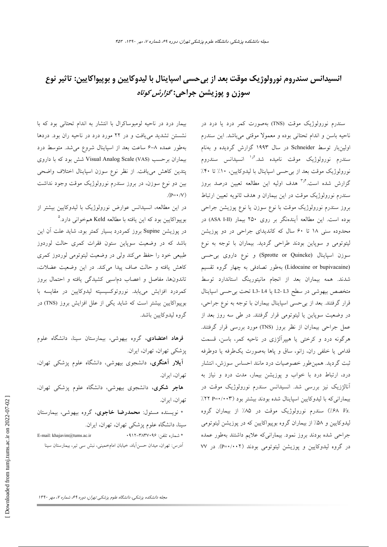## **انسيدانس سندروم نورولوژيك موقت بعد از بيحسي اسپاينال با ليدوكايين و بوپيواكايين: تاثير نوع سوزن و پوزيشن جراحي: گزارش كوتاه**

بيمار درد در ناحيه لومبوساكرال با انتشار به اندام تحتاني بود كه با نشستن تشديد مييافت و در 22 مورد درد در ناحيه ران بود. دردها بهطور عمده ٨-۶ ساعت بعد از اسپاينال شروع مي شد. متوسط درد بيماران برحسب (VAS (Scale Analog Visual شش بود كه با داروي پتدين كاهش مييافت. از نظر نوع سوزن اسپاينال اختلاف واضحي بين دو نوع سوزن، در بروز سندرم نورولوژيك موقت وجود نداشت .( $P=\cdot$ / $V$ )

در اين مطالعه، انسيدانس عوارض نورولوژيك با ليدوكايين بيشتر از <sup>5</sup> بوپيواكايين بود كه اين يافته با مطالعه Keld همخواني دارد.

در پوزيشن Supine بروز كمردرد بسيار كمتر بود، شايد علت آن اين باشد كه در وضعيت سوپاين ستون فقرات كمري حالت لوردوز طبيعي خود را حفظ ميكند ولي در وضعيت ليتوتومي لوردوز كمري كاهش يافته و حالت صاف پيدا ميكند. در اين وضعيت عضلات، تاندونها، مفاصل و اعصاب دماسبي كشيدگي يافته و احتمال بروز كمردرد افزايش مييابد. نوروتوكسيسيته ليدوكايين در مقايسه با بوپيواكايين بيشتر است كه شايد يكي از علل افزايش بروز (TNS (در گروه ليدوكايين باشد.

**فرهاد اعتضادي،** گروه بيهوشي، بيمارستان سينا، دانشگاه علوم پزشكي تهران، تهران، ايران.

**آيلار آهنگري،** دانشجوي بيهوشي، دانشگاه علوم پزشكي تهران، تهران، ايران.

**هاجر شكري،** دانشجوي بيهوشي، دانشگاه علوم پزشكي تهران، تهران، ايران.

**\*** نويسنده مسئول: **محمدرضا خاجوي،** گروه بيهوشي، بيمارستان سينا، دانشگاه علوم پزشكي تهران، تهران، ايران.

 E-mail: khajavim@tums.ac.ir 0912-3837096 :تلفن شماره**\*** آدرس: تهران، ميدان حسنآباد، خيابان امامخميني، نبش سي تير، بيمارستان سينا

سندرم نورولوژيك موقت (TNS (بهصورت كمر درد يا درد در ناحيه باسن و اندام تحتاني بوده و معمولا موقتي ميباشد. اين سندرم اولينبار توسط Schneider در سال 1993 گزارش گرديده و بهنام سندرم نورولوژيك موقت ناميده شد.<sup>۲و۱</sup> انسيدانس سندروم نورولوژيك موقت بعد از بيحسي اسپاينال با ليدوكايين، %10 تا %40 گزارش شده است.<sup>94</sup> هدف اوليه اين مطالعه تعيين درصد بروز سندرم نورولوژيك موقت در اين بيماران و هدف ثانويه تعيين ارتباط بروز سندرم نورولوژيك موقت با نوع سوزن يا نوع پوزيشن جراحي بوده است. اين مطالعه آيندهنگر بر روي 250 بيمار (II-I ASA (در محدوده سني 18 تا 60 سال كه كانديداي جراحي در دو پوزيشن ليتوتومي و سوپاين بودند طراحي گرديد. بيماران با توجه به نوع سوزن اسپاينال (Quincke or Sprotte (و نوع داروي بيحسي (Lidocaine or bupivacaine) بهطور تصادفي به چهار گروه تقسيم شدند. همه بيماران بعد از انجام مانيتورينگ استاندارد توسط متخصص بيهوشي در سطح 3L 2-L يا 4L 3-L تحت بيحسي اسپاينال قرار گرفتند. بعد از بيحسي اسپاينال بيماران با توجه به نوع جراحي، در وضعيت سوپاين يا ليتوتومي قرار گرفتند. در طي سه روز بعد از عمل جراحي بيماران از نظر بروز (TNS) مورد بررسي قرار گرفتند. هرگونه درد و كرختي يا هيپرآلژزي در ناحيه كمر، باسن، قسمت قدامي يا خلفي ران، زانو، ساق و پاها بهصورت يكطرفه يا دوطرفه ثبت گرديد. همينطور خصوصيات درد مانند احساس سوزش، انتشار درد، ارتباط درد با خواب و پوزيشن بيمار، مدت درد و نياز به آنالژزيك نيز بررسي شد. انسيدانس سندرم نورولوژيك موقت در بيمارانيكه با ليدوكايين اسپاينال شده بودند بيشتر بود (0/003=P %22 *.Vs* %68 (سندرم نورولوژيك موقت در %85 از بيماران گروه ليدوكايين و %58 از بيماران گروه بوپيواكايين كه در پوزيشن ليتوتومي جراحي شده بودند بروز نمود. بيمارانيكه علايم داشتند بهطور عمده در گروه ليدوكايين و پوزيشن ليتوتومي بودند (0/002=P(. در 77